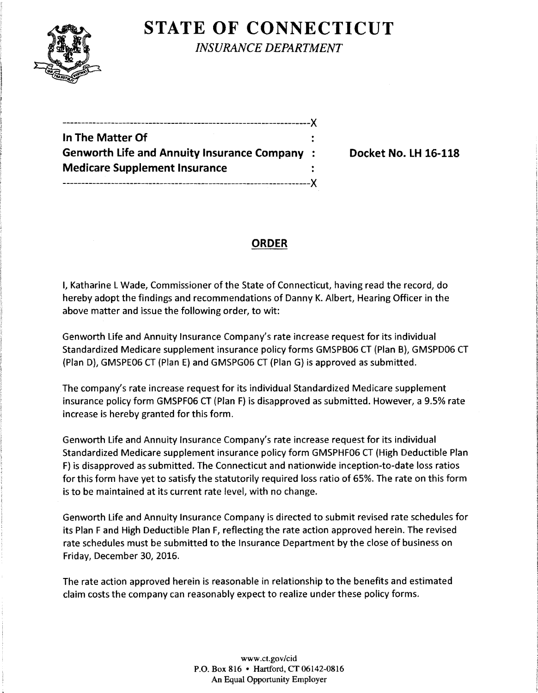

**STATE OF CONNECTICUT** 

*INSURANCE DEPARTMENT* 

------------------------------------------------------------------)( **In The Matter Of Genworth Life and Annuity Insurance Company** : **Docket No. LH 16-118 Medicare Supplement Insurance**  ------------------------------------------------------------------)(

## **ORDER**

I, Katharine L Wade, Commissioner of the State of Connecticut, having read the record, do hereby adopt the findings and recommendations of Danny K. Albert, Hearing Officer in the above matter and issue the following order, to wit:

Genworth Life and Annuity Insurance Company's rate increase request for its individual Standardized Medicare supplement insurance policy forms GMSPB06 CT (Plan B), GMSPD06 CT (Plan D), GMSPE06 CT (Plan E) and GMSPG06 CT (Plan G) is approved as submitted.

The company's rate increase request for its individual Standardized Medicare supplement insurance policy form GMSPF06 CT (Plan F) is disapproved as submitted. However, a 9.5% rate increase is hereby granted for this form.

Genworth Life and Annuity Insurance Company's rate increase request for its individual Standardized Medicare supplement insurance policy form GMSPHF06 CT (High Deductible Plan F) is disapproved as submitted. The Connecticut and nationwide inception-to-date loss ratios for this form have yet to satisfy the statutorily required loss ratio of 65%. The rate on this form is to be maintained at its current rate level, with no change.

Genworth Life and Annuity Insurance Company is directed to submit revised rate schedules for its Plan F and High Deductible Plan F, reflecting the rate action approved herein. The revised rate schedules must be submitted to the Insurance Department by the close of business on Friday, December 30, 2016.

The rate action approved herein is reasonable in relationship to the benefits and estimated claim costs the company can reasonably expect to realize under these policy forms.

> www.ct.gov/cid P.O. Box 816 • Hartford, CT 06142-0816 An Equal Opportunity Employer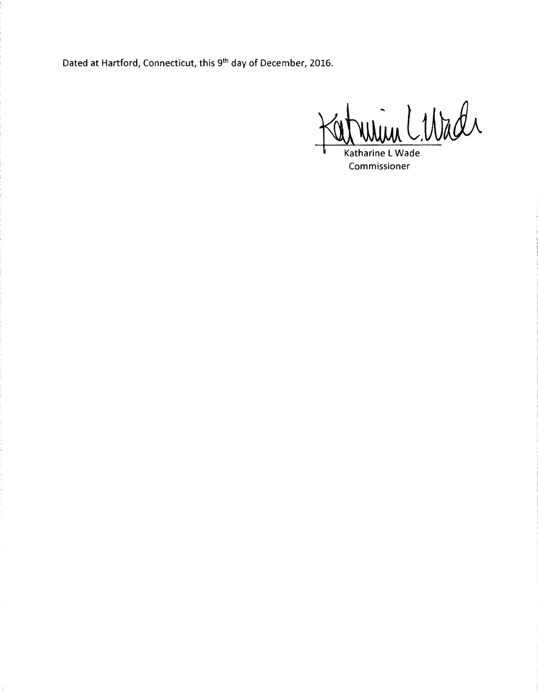Dated at Hartford, Connecticut, this 9<sup>th</sup> day of December, 2016.

<u> im Libral</u>

Katharine L Wade Commissioner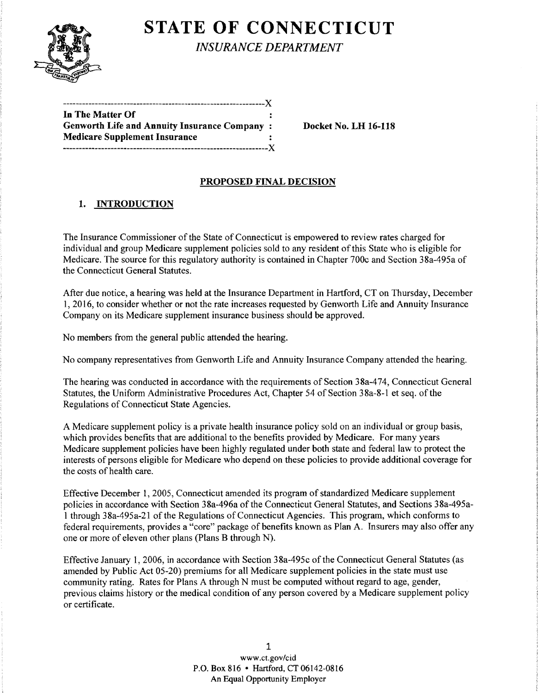

# **STATE OF CONNECTICUT**

*INSURANCE DEPARTMENT* 

| In The Matter Of                                    |  |
|-----------------------------------------------------|--|
| <b>Genworth Life and Annuity Insurance Company:</b> |  |
| <b>Medicare Supplement Insurance</b>                |  |
|                                                     |  |

Docket No. LH 16-118

### PROPOSED FINAL DECISION

### 1. INTRODUCTION

The Insurance Commissioner of the State of Connecticut is empowered to review rates charged for individual and group Medicare supplement policies sold to any resident of this State who is eligible for Medicare. The source for this regulatory authority is contained in Chapter 700c and Section 38a-495a of the Connecticut General Statutes.

After due notice, a hearing was held at the Insurance Department in Hartford, CT on Thursday, December 1, 2016, to consider whether or not the rate increases requested by Genworth Life and Annuity Insurance Company on its Medicare supplement insurance business should be approved.

No members from the general public attended the hearing.

No company representatives from Genworth Life and Annuity Insurance Company attended the hearing.

The hearing was conducted in accordance with the requirements of Section 38a-474, Connecticut General Statutes, the Uniform Administrative Procedures Act, Chapter 54 of Section 38a-8-1 et seq. of the Regulations of Connecticut State Agencies.

A Medicare supplement policy is a private health insurance policy sold on an individual or group basis, which provides benefits that are additional to the benefits provided by Medicare. For many years Medicare supplement policies have been highly regulated under both state and federal law to protect the interests of persons eligible for Medicare who depend on these policies to provide additional coverage for the costs of health care.

Effective December 1, 2005, Connecticut amended its program of standardized Medicare supplement policies in accordance with Section 38a-496a of the Connecticut General Statutes, and Sections 38a-495a-1 through 38a-495a-21 ofthe Regulations ofConnecticut Agencies. This program, which conforms to federal requirements, provides a "core" package of benefits known as Plan A. Insurers may also offer any one or more of eleven other plans (Plans B through N).

Effective January 1, 2006, in accordance with Section 38a-495c of the Connecticut General Statutes (as amended by Public Act 05-20) premiums for all Medicare supplement policies in the state must use community rating. Rates for Plans A through N must be computed without regard to age, gender, previous claims history or the medical condition of any person covered by a Medicare supplement policy or certificate.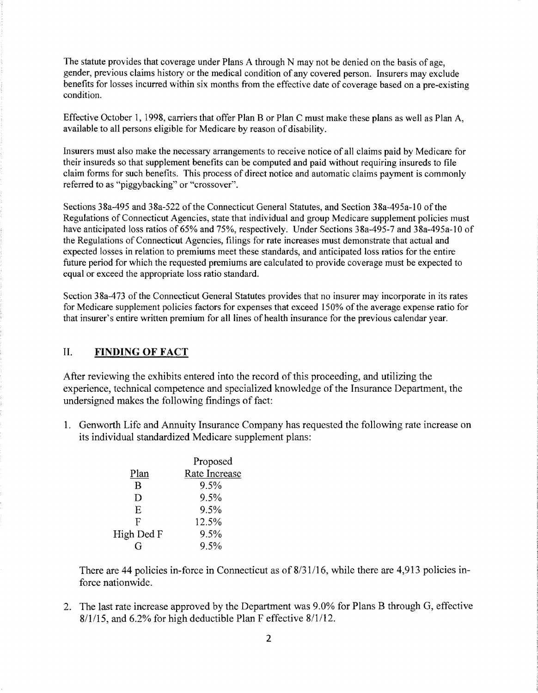The statute provides that coverage under Plans A through N may not be denied on the basis of age, gender, previous claims history or the medical condition of any covered person. Insurers may exclude benefits for losses incurred within six months from the effective date of coverage based on a pre-existing condition.

Effective October 1, 1998, carriers that offer Plan B or Plan C must make these plans as well as Plan A, available to all persons eligible for Medicare by reason of disability.

Insurers must also make the necessary arrangements to receive notice of all claims paid by Medicare for their insureds so that supplement benefits can be computed and paid without requiring insureds to file claim forms for such benefits. This process of direct notice and automatic claims payment is commonly referred to as "piggybacking" or "crossover".

Sections 38a-495 and 38a-522 of the Connecticut General Statutes, and Section 38a-495a-10 of the Regulations of Connecticut Agencies, state that individual and group Medicare supplement policies must have anticipated loss ratios of 65% and 75%, respectively. Under Sections 38a-495-7 and 38a-495a-10 of the Regulations of Connecticut Agencies, filings for rate increases must demonstrate that actual and expected losses in relation to premiums meet these standards, and anticipated loss ratios for the entire future period for which the requested premiums are calculated to provide coverage must be expected to equal or exceed the appropriate loss ratio standard.

Section 38a-473 of the Connecticut General Statutes provides that no insurer may incorporate in its rates for Medicare supplement policies factors for expenses that exceed 150% of the average expense ratio for that insurer's entire written premium for all lines of health insurance for the previous calendar year.

### II. **FINDING OF FACT**

After reviewing the exhibits entered into the record of this proceeding, and utilizing the experience, technical competence and specialized knowledge of the Insurance Department, the undersigned makes the following findings of fact:

1. Genworth Life and Annuity Insurance Company has requested the following rate increase on its individual standardized Medicare supplement plans:

|            | Proposed      |
|------------|---------------|
| Plan       | Rate Increase |
| R          | 9.5%          |
| D          | 9.5%          |
| E          | 9.5%          |
| F          | 12.5%         |
| High Ded F | 9.5%          |
| G          | $9.5\%$       |
|            |               |

There are 44 policies in-force in Connecticut as of 8/31/16, while there are 4,913 policies inforce nationwide.

2. The last rate increase approved by the Department was 9.0% for Plans B through G, effective 8/1115, and 6.2% for high deductible Plan F effective 8/1/12.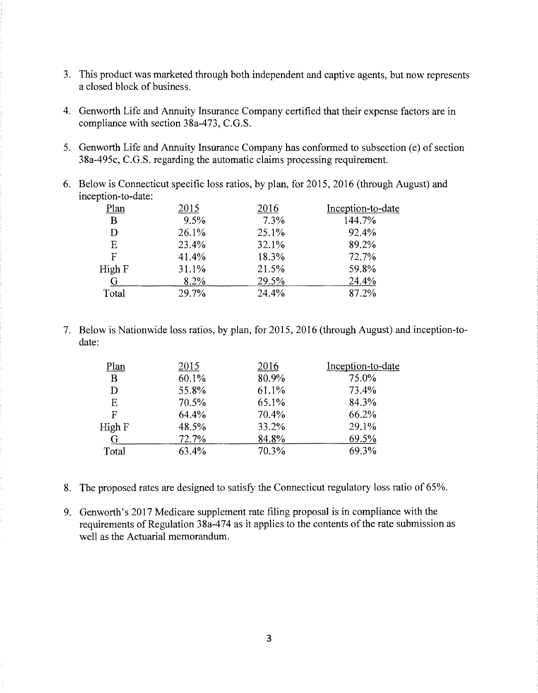- 3. This product was marketed through both independent and captive agents, but now represents a closed block of business.
- 4. Genworth Life and Annuity Insurance Company certified that their expense factors are in compliance with section 38a-473, C.G.S.
- 5. Genworth Life and Annuity Insurance Company has conformed to subsection (e) of section 38a-495c, C.G.S. regarding the automatic claims processing requirement.
- 6. Below is Connecticut specific loss ratios, by plan, for 2015, 2016 (through August) and inception-to-date:

| Plan   | 2015  | 2016  | Inception-to-date |
|--------|-------|-------|-------------------|
| B      | 9.5%  | 7.3%  | 144.7%            |
| D      | 26.1% | 25.1% | 92.4%             |
| E      | 23.4% | 32.1% | 89.2%             |
| F      | 41.4% | 18.3% | 72.7%             |
| High F | 31.1% | 21.5% | 59.8%             |
| G      | 8.2%  | 29.5% | 24.4%             |
| Total  | 29.7% | 24.4% | 87.2%             |
|        |       |       |                   |

7. Below is Nationwide loss ratios, by plan, for 2015, 2016 (through August) and inception-todate:

| Plan   | 2015  | 2016  | Inception-to-date |
|--------|-------|-------|-------------------|
| B      | 60.1% | 80.9% | 75.0%             |
| D      | 55.8% | 61.1% | 73.4%             |
| E      | 70.5% | 65.1% | 84.3%             |
| F      | 64.4% | 70.4% | 66.2%             |
| High F | 48.5% | 33.2% | 29.1%             |
| G      | 72.7% | 84.8% | 69.5%             |
| Total  | 63.4% | 70.3% | 69.3%             |
|        |       |       |                   |

- 8. The proposed rates are designed to satisfy the Connecticut regulatory loss ratio of 65%.
- 9. Genworth's 2017 Medicare supplement rate filing proposal is in compliance with the requirements of Regulation 38a-474 as it applies to the contents of the rate submission as well as the Actuarial memorandum.